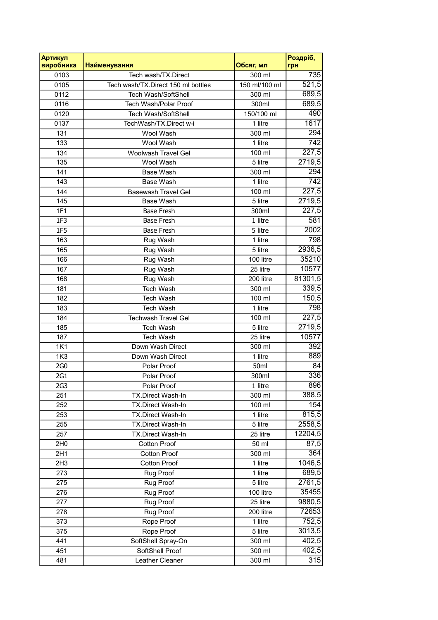| Артикул<br>виробника | <b>Найменування</b>                | Обсяг, мл            | Роздріб,<br>грн  |
|----------------------|------------------------------------|----------------------|------------------|
| 0103                 | Tech wash/TX.Direct                | 300 ml               | 735              |
| 0105                 | Tech wash/TX.Direct 150 ml bottles | 150 ml/100 ml        | 521,5            |
| 0112                 | Tech Wash/SoftShell                | 300 ml               | 689,5            |
| 0116                 | Tech Wash/Polar Proof              | 300ml                | 689,5            |
| 0120                 | Tech Wash/SoftShell                | 150/100 ml           | 490              |
| 0137                 | TechWash/TX.Direct w-i             | 1 litre              | 1617             |
| 131                  | Wool Wash                          | 300 ml               | 294              |
| 133                  | Wool Wash                          | 1 litre              | 742              |
| 134                  | Woolwash Travel Gel                | 100 ml               | 227,5            |
| 135                  | Wool Wash                          | 5 litre              | 2719,5           |
| 141                  | <b>Base Wash</b>                   | 300 ml               | 294              |
| 143                  | <b>Base Wash</b>                   | 1 litre              | $\overline{742}$ |
| 144                  | <b>Basewash Travel Gel</b>         | 100 ml               | 227,5            |
| 145                  | <b>Base Wash</b>                   | 5 litre              | 2719,5           |
| 1F1                  | <b>Base Fresh</b>                  | 300ml                | 227,5            |
| 1F3                  | <b>Base Fresh</b>                  | 1 litre              | 581              |
| <b>1F5</b>           | <b>Base Fresh</b>                  | 5 litre              | 2002             |
| 163                  | Rug Wash                           | 1 litre              | 798              |
| 165                  | Rug Wash                           | 5 litre              | 2936,5           |
| 166                  | Rug Wash                           | 100 litre            | 35210            |
| 167                  | Rug Wash                           | 25 litre             | 10577            |
| 168                  | Rug Wash                           | 200 litre            | 81301,5          |
| 181                  | <b>Tech Wash</b>                   | 300 ml               | 339,5            |
| 182                  | <b>Tech Wash</b>                   | 100 ml               | 150,5            |
| 183                  | <b>Tech Wash</b>                   | 1 litre              | 798              |
| 184                  | <b>Techwash Travel Gel</b>         | 100 ml               | 227,5            |
| 185                  | Tech Wash                          | 5 litre              | 2719,5           |
| 187                  | <b>Tech Wash</b>                   | 25 litre             | 10577            |
| <b>1K1</b>           | Down Wash Direct                   | 300 ml               | 392              |
| <b>1K3</b>           | Down Wash Direct                   | 1 litre              | 889              |
| 2G0                  | Polar Proof                        | 50ml                 | 84               |
| 2G1                  | Polar Proof                        | 300ml                | 336              |
| 2G <sub>3</sub>      | Polar Proof                        | 1 litre              | 896              |
| 251                  | TX.Direct Wash-In                  | 300 ml               | 388,5            |
| 252                  | TX.Direct Wash-In                  | 100 ml               | 154              |
| 253                  | <b>TX.Direct Wash-In</b>           | 1 litre              | 815,5            |
| 255                  | TX.Direct Wash-In                  | 5 litre              | 2558,5           |
| 257                  | TX.Direct Wash-In                  | 25 litre             | 12204,5          |
| 2H <sub>0</sub>      | <b>Cotton Proof</b>                | 50 ml                | 87,5             |
| 2H1                  | <b>Cotton Proof</b>                | 300 ml               | 364              |
| 2H3                  | <b>Cotton Proof</b>                | $\overline{1}$ litre | 1046,5           |
| 273                  | Rug Proof                          | 1 litre              | 689,5            |
| 275                  | Rug Proof                          | 5 litre              | 2761,5           |
| 276                  | Rug Proof                          | 100 litre            | 35455            |
| 277                  | Rug Proof                          | 25 litre             | 9880,5           |
| 278                  | Rug Proof                          | 200 litre            | 72653            |
| 373                  | Rope Proof                         | 1 litre              | 752,5            |
| 375                  | Rope Proof                         | 5 litre              | 3013,5           |
| 441                  | SoftShell Spray-On                 | 300 ml               | 402,5            |
| 451                  | SoftShell Proof                    | 300 ml               | 402,5            |
| 481                  | Leather Cleaner                    | 300 ml               | 315              |
|                      |                                    |                      |                  |